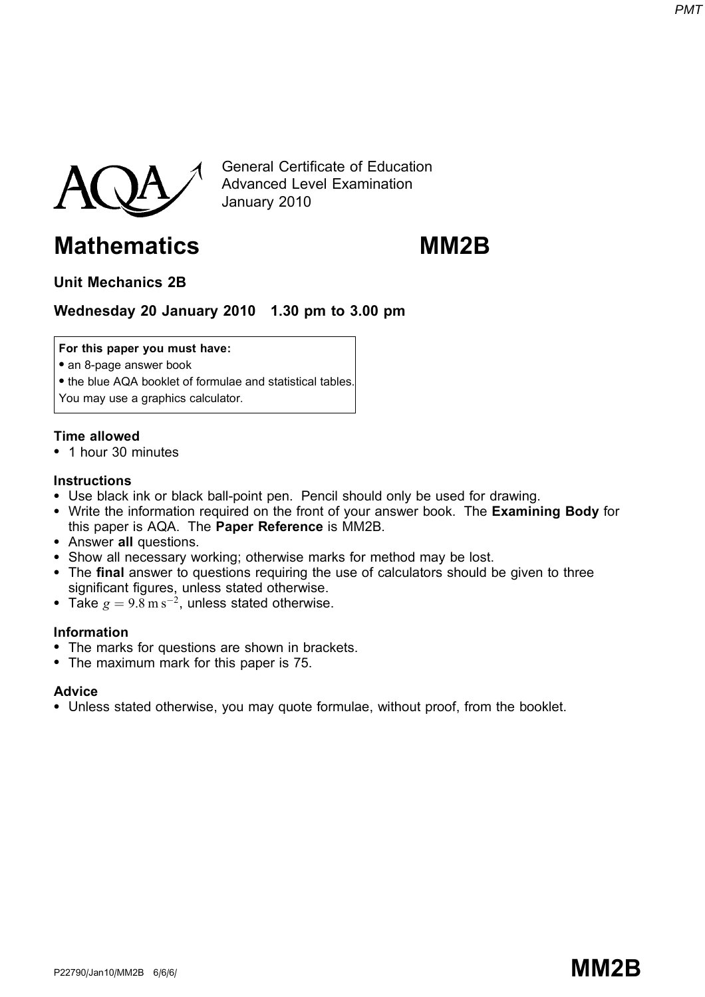



General Certificate of Education Advanced Level Examination January 2010

# Mathematics MM2B

# Unit Mechanics 2B

# Wednesday 20 January 2010 1.30 pm to 3.00 pm

#### For this paper you must have:

- an 8-page answer book
- the blue AQA booklet of formulae and statistical tables.
- You may use a graphics calculator.

### Time allowed

\* 1 hour 30 minutes

#### **Instructions**

- Use black ink or black ball-point pen. Pencil should only be used for drawing.
- Write the information required on the front of your answer book. The Examining Body for this paper is AQA. The Paper Reference is MM2B.
- Answer all questions.
- Show all necessary working; otherwise marks for method may be lost.
- The final answer to questions requiring the use of calculators should be given to three significant figures, unless stated otherwise.
- Take  $g = 9.8 \text{ m s}^{-2}$ , unless stated otherwise.

### Information

- The marks for questions are shown in brackets.
- The maximum mark for this paper is 75.

### Advice

\* Unless stated otherwise, you may quote formulae, without proof, from the booklet.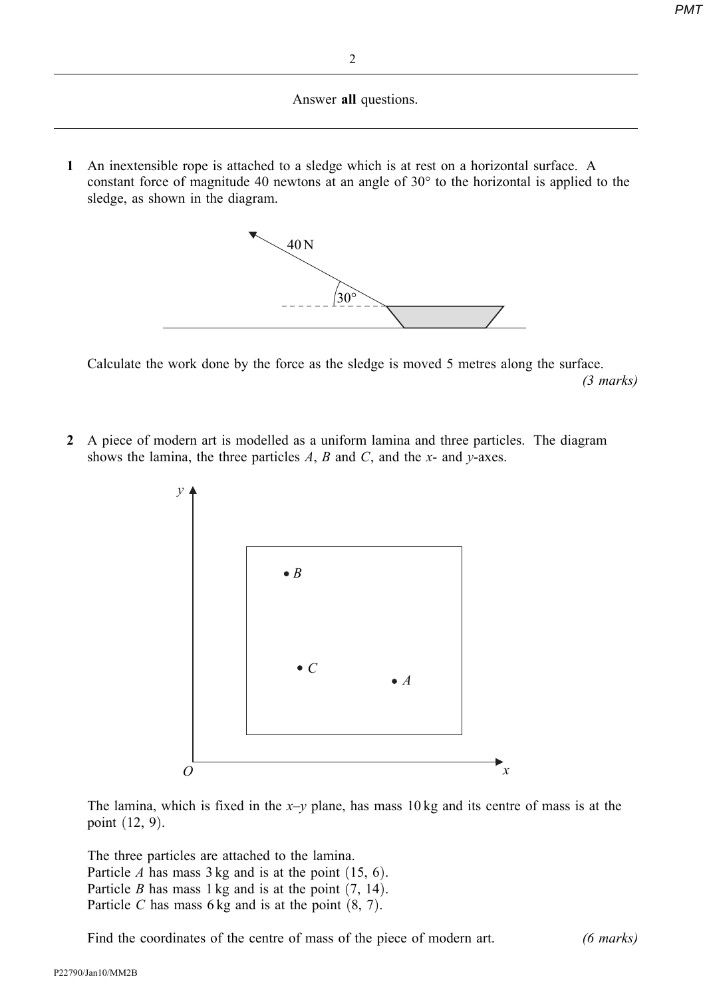Answer all questions.

1 An inextensible rope is attached to a sledge which is at rest on a horizontal surface. A constant force of magnitude 40 newtons at an angle of  $30^{\circ}$  to the horizontal is applied to the sledge, as shown in the diagram.



Calculate the work done by the force as the sledge is moved 5 metres along the surface. (3 marks)

2 A piece of modern art is modelled as a uniform lamina and three particles. The diagram shows the lamina, the three particles  $A$ ,  $B$  and  $C$ , and the  $x$ - and  $y$ -axes.



The lamina, which is fixed in the  $x-y$  plane, has mass 10 kg and its centre of mass is at the point  $(12, 9)$ .

The three particles are attached to the lamina. Particle A has mass  $3 \text{ kg}$  and is at the point  $(15, 6)$ . Particle B has mass 1 kg and is at the point  $(7, 14)$ . Particle C has mass 6 kg and is at the point  $(8, 7)$ .

Find the coordinates of the centre of mass of the piece of modern art. (6 marks)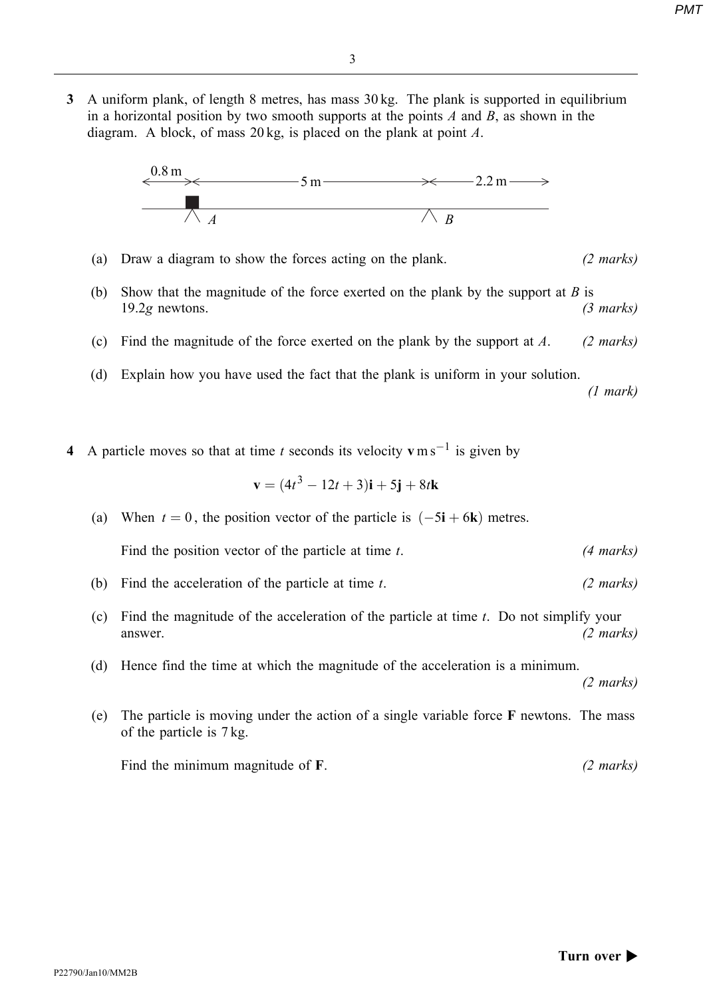3 A uniform plank, of length 8 metres, has mass 30 kg. The plank is supported in equilibrium in a horizontal position by two smooth supports at the points  $A$  and  $B$ , as shown in the diagram. A block, of mass  $20 \text{ kg}$ , is placed on the plank at point A.



- (a) Draw a diagram to show the forces acting on the plank. (2 marks)
- (b) Show that the magnitude of the force exerted on the plank by the support at  $B$  is  $19.2g$  newtons. (3 marks)
- (c) Find the magnitude of the force exerted on the plank by the support at  $A$ . (2 marks)
- (d) Explain how you have used the fact that the plank is uniform in your solution.

(1 mark)

4 A particle moves so that at time t seconds its velocity  $v \, \text{m s}^{-1}$  is given by

$$
\mathbf{v} = (4t^3 - 12t + 3)\mathbf{i} + 5\mathbf{j} + 8t\mathbf{k}
$$

- (a) When  $t = 0$ , the position vector of the particle is  $(-5\mathbf{i} + 6\mathbf{k})$  metres. Find the position vector of the particle at time  $t$ . (4 marks)
- (b) Find the acceleration of the particle at time  $t$ . (2 marks)
- (c) Find the magnitude of the acceleration of the particle at time  $t$ . Do not simplify your answer.  $(2 \text{ marks})$
- (d) Hence find the time at which the magnitude of the acceleration is a minimum.

(2 marks)

(e) The particle is moving under the action of a single variable force F newtons. The mass of the particle is 7 kg.

Find the minimum magnitude of F. (2 marks)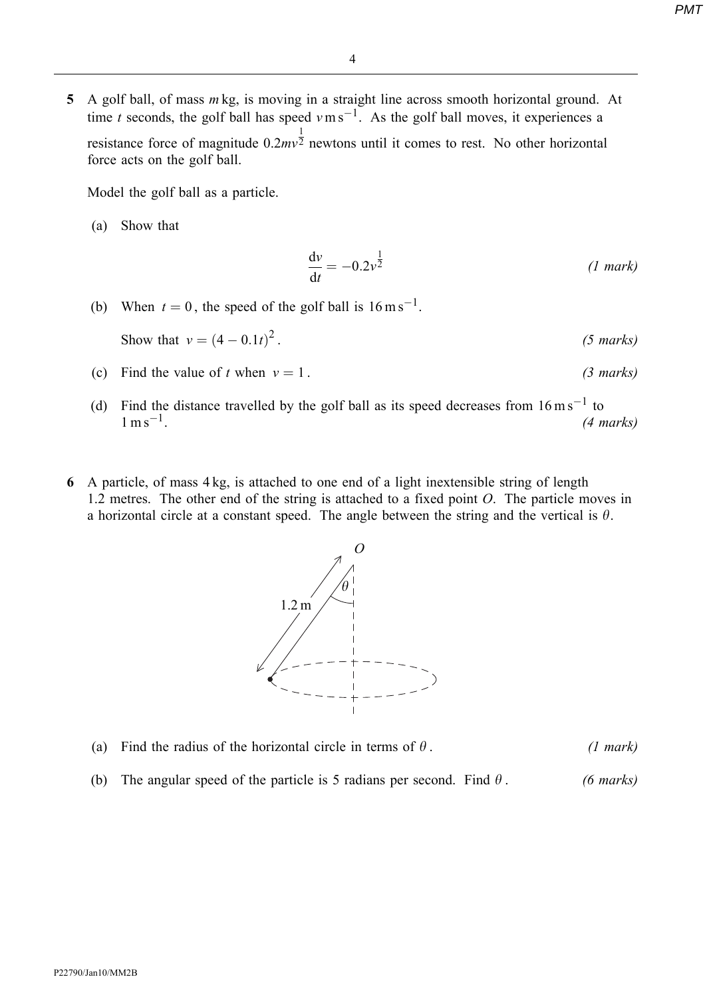5 A golf ball, of mass  $m$  kg, is moving in a straight line across smooth horizontal ground. At time t seconds, the golf ball has speed  $v \text{ m s}^{-1}$ . As the golf ball moves, it experiences a resistance force of magnitude 0.2mv 1  $\overline{2}$  newtons until it comes to rest. No other horizontal force acts on the golf ball.

Model the golf ball as a particle.

(a) Show that

$$
\frac{\mathrm{d}v}{\mathrm{d}t} = -0.2v^{\frac{1}{2}} \tag{1 mark}
$$

(b) When  $t = 0$ , the speed of the golf ball is  $16 \text{ m s}^{-1}$ .

Show that 
$$
v = (4 - 0.1t)^2
$$
. (5 marks)

- (c) Find the value of t when  $v = 1$ . (3 marks)
- (d) Find the distance travelled by the golf ball as its speed decreases from  $16 \text{ m s}^{-1}$  to  $1 \text{ m s}^{-1}$ . (4 marks)
- 6 A particle, of mass 4 kg, is attached to one end of a light inextensible string of length 1.2 metres. The other end of the string is attached to a fixed point O. The particle moves in a horizontal circle at a constant speed. The angle between the string and the vertical is  $\theta$ .



- (a) Find the radius of the horizontal circle in terms of  $\theta$ . (1 mark)
- (b) The angular speed of the particle is 5 radians per second. Find  $\theta$ . (6 marks)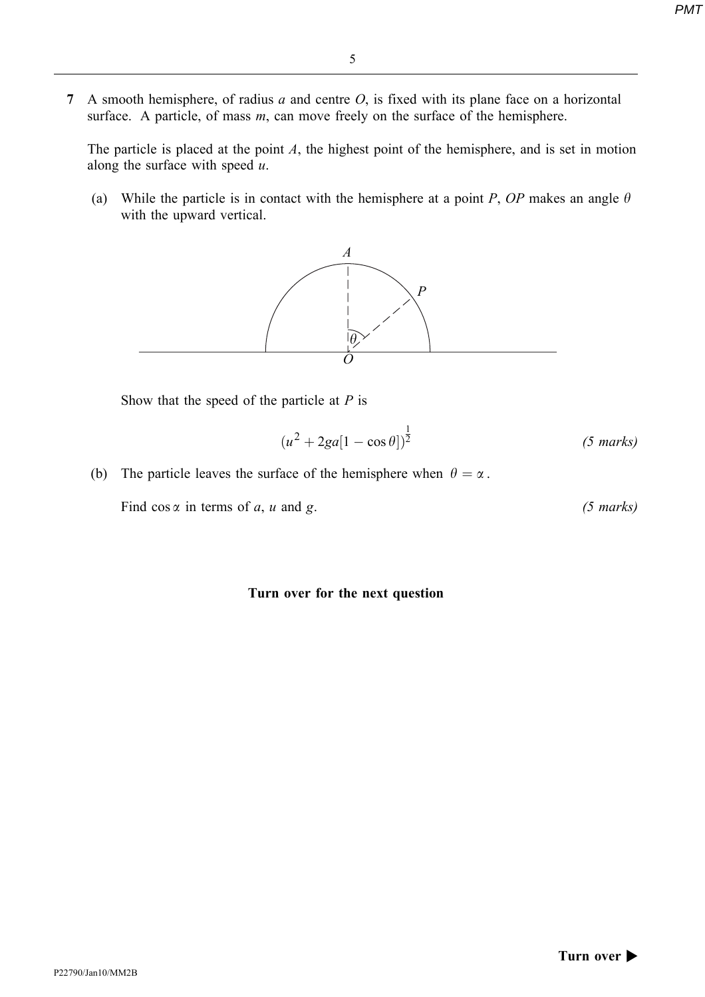7 A smooth hemisphere, of radius  $a$  and centre  $O$ , is fixed with its plane face on a horizontal surface. A particle, of mass  $m$ , can move freely on the surface of the hemisphere.

The particle is placed at the point  $A$ , the highest point of the hemisphere, and is set in motion along the surface with speed  $u$ .

(a) While the particle is in contact with the hemisphere at a point P, OP makes an angle  $\theta$ with the upward vertical.



Show that the speed of the particle at  $P$  is

$$
(u^2 + 2ga[1 - \cos\theta])^{\frac{1}{2}}
$$
 (5 marks)

(b) The particle leaves the surface of the hemisphere when  $\theta = \alpha$ .

Find  $\cos \alpha$  in terms of a, u and g. (5 marks)

### Turn over for the next question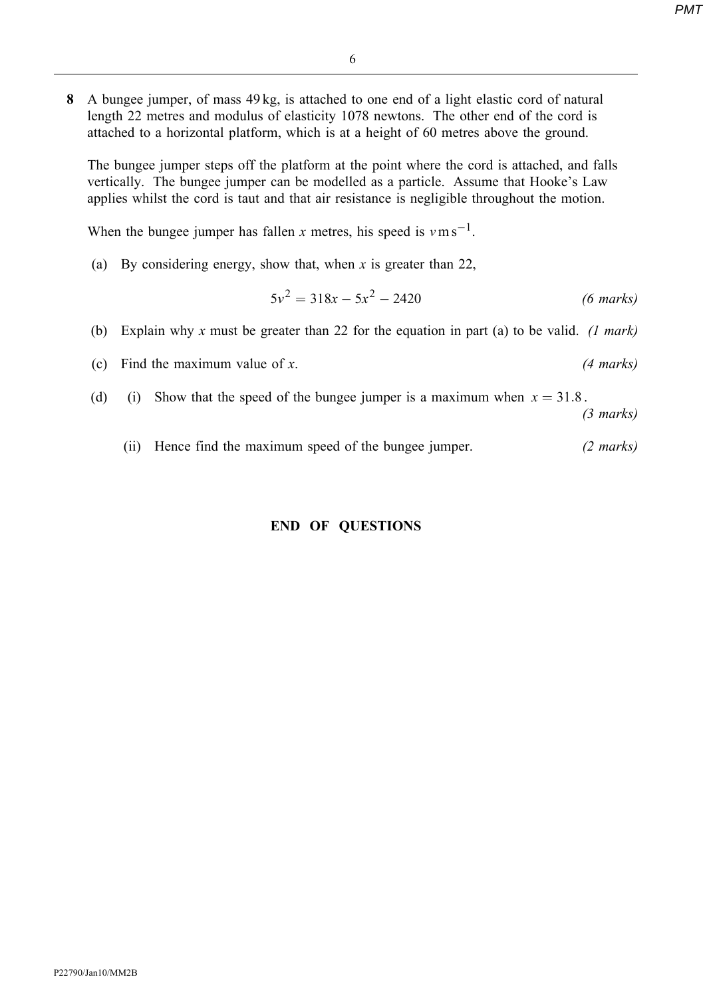8 A bungee jumper, of mass 49 kg, is attached to one end of a light elastic cord of natural length 22 metres and modulus of elasticity 1078 newtons. The other end of the cord is attached to a horizontal platform, which is at a height of 60 metres above the ground.

The bungee jumper steps off the platform at the point where the cord is attached, and falls vertically. The bungee jumper can be modelled as a particle. Assume that Hooke's Law applies whilst the cord is taut and that air resistance is negligible throughout the motion.

When the bungee jumper has fallen x metres, his speed is  $v \text{ m s}^{-1}$ .

(a) By considering energy, show that, when x is greater than 22,

$$
5v^2 = 318x - 5x^2 - 2420
$$
 (6 marks)

- (b) Explain why x must be greater than 22 for the equation in part (a) to be valid. (1 mark)
- (c) Find the maximum value of x.  $(4 \text{ marks})$
- (d) (i) Show that the speed of the bungee jumper is a maximum when  $x = 31.8$ .

(3 marks)

(ii) Hence find the maximum speed of the bungee jumper. (2 marks)

## END OF QUESTIONS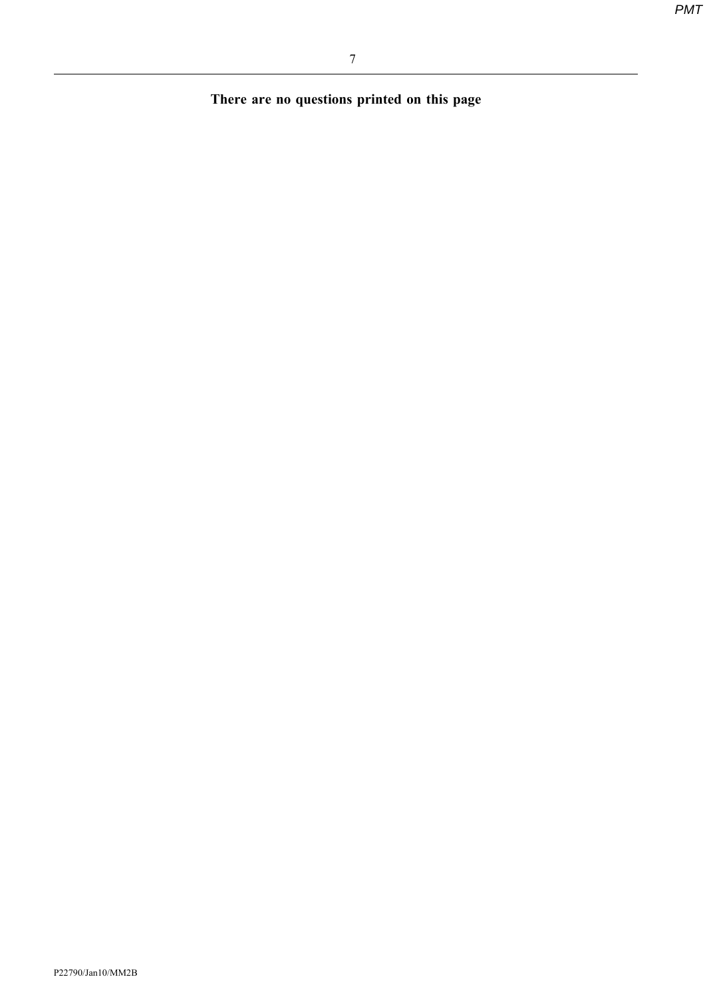There are no questions printed on this page